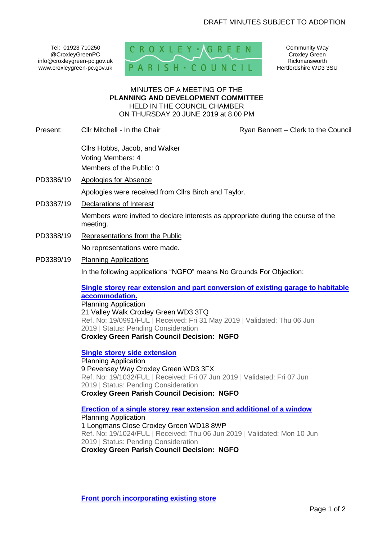Tel: 01923 710250 @CroxleyGreenPC info@croxleygreen-pc.gov.uk www.croxleygreen-pc.gov.uk



Community Way Croxley Green Rickmansworth Hertfordshire WD3 3SU

### MINUTES OF A MEETING OF THE **PLANNING AND DEVELOPMENT COMMITTEE** HELD IN THE COUNCIL CHAMBER ON THURSDAY 20 JUNE 2019 at 8.00 PM

Present: Cllr Mitchell - In the Chair Ryan Bennett – Clerk to the Council

Cllrs Hobbs, Jacob, and Walker Voting Members: 4 Members of the Public: 0

PD3386/19 Apologies for Absence

Apologies were received from Cllrs Birch and Taylor.

PD3387/19 Declarations of Interest

Members were invited to declare interests as appropriate during the course of the meeting.

- PD3388/19 Representations from the Public No representations were made.
- PD3389/19 Planning Applications In the following applications "NGFO" means No Grounds For Objection:

**[Single storey rear extension and part conversion of existing garage to habitable](http://www3.threerivers.gov.uk/online-applications/applicationDetails.do?activeTab=summary&keyVal=PSCWW6QFFKX00&prevPage=inTray)  [accommodation.](http://www3.threerivers.gov.uk/online-applications/applicationDetails.do?activeTab=summary&keyVal=PSCWW6QFFKX00&prevPage=inTray)**

Planning Application 21 Valley Walk Croxley Green WD3 3TQ Ref. No: 19/0991/FUL | Received: Fri 31 May 2019 | Validated: Thu 06 Jun 2019 | Status: Pending Consideration **Croxley Green Parish Council Decision: NGFO**

**[Single storey side extension](http://www3.threerivers.gov.uk/online-applications/applicationDetails.do?activeTab=summary&keyVal=PSPVJ7QFFN700&prevPage=inTray)** Planning Application 9 Pevensey Way Croxley Green WD3 3FX Ref. No: 19/1032/FUL | Received: Fri 07 Jun 2019 | Validated: Fri 07 Jun 2019 | Status: Pending Consideration **Croxley Green Parish Council Decision: NGFO**

**[Erection of a single storey rear extension and additional of a window](http://www3.threerivers.gov.uk/online-applications/applicationDetails.do?activeTab=summary&keyVal=PSO0U6QFFMR00&prevPage=inTray)** Planning Application 1 Longmans Close Croxley Green WD18 8WP Ref. No: 19/1024/FUL | Received: Thu 06 Jun 2019 | Validated: Mon 10 Jun 2019 | Status: Pending Consideration **Croxley Green Parish Council Decision: NGFO**